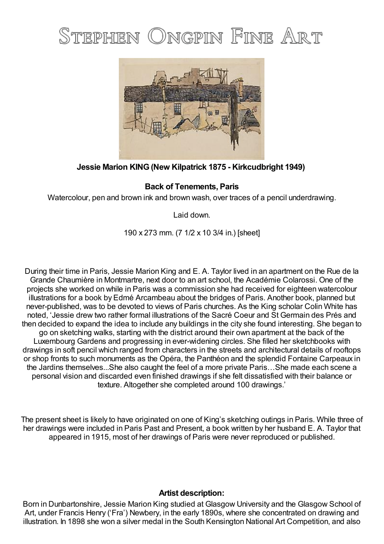## STEPHEN ONGPIN FINE ART



## **Jessie Marion KING(New Kilpatrick 1875 - Kirkcudbright 1949)**

## **Back of Tenements, Paris**

Watercolour, pen and brown ink and brown wash, over traces of a pencil underdrawing.

Laid down.

190 x 273 mm. (7 1/2 x 10 3/4 in.) [sheet]

During their time in Paris, Jessie Marion King and E. A. Taylor lived in an apartment on the Rue de la Grande Chaumière in Montmartre, next door to an art school, the Académie Colarossi. One of the projects she worked on while in Paris was a commission she had received for eighteen watercolour illustrations for a book by Edmé Arcambeau about the bridges of Paris. Another book, planned but never-published, was to be devoted to views of Paris churches. As the King scholar Colin White has noted, 'Jessie drew two rather formal illustrations of the Sacré Coeur and St Germain des Prés and then decided to expand the idea to include any buildings in the city she found interesting. She began to go on sketching walks, starting with the district around their own apartment at the back of the Luxembourg Gardens and progressing in ever-widening circles. She filled her sketchbooks with drawings in soft pencil which ranged from characters in the streets and architectural details of rooftops or shop fronts to such monuments as the Opéra, the Panthéon and the splendid Fontaine Carpeaux in the Jardins themselves...She also caught the feel of a more private Paris…She made each scene a personal vision and discarded even finished drawings if she felt dissatisfied with their balance or texture. Altogether she completed around 100 drawings.'

The present sheet is likely to have originated on one of King's sketching outings in Paris. While three of her drawings were included in Paris Past and Present, a book written by her husband E. A. Taylor that appeared in 1915, most of her drawings of Paris were never reproduced or published.

## **Artist description:**

Born in Dunbartonshire, Jessie Marion King studied at Glasgow University and the Glasgow School of Art, under Francis Henry ('Fra') Newbery, in the early 1890s, where she concentrated on drawing and illustration. In 1898 she won a silver medal in the South Kensington National Art Competition, and also